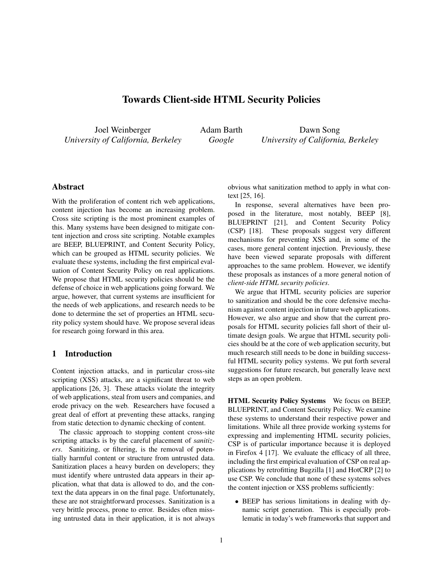# Towards Client-side HTML Security Policies

Joel Weinberger *University of California, Berkeley* Adam Barth *Google*

Dawn Song *University of California, Berkeley*

## Abstract

With the proliferation of content rich web applications, content injection has become an increasing problem. Cross site scripting is the most prominent examples of this. Many systems have been designed to mitigate content injection and cross site scripting. Notable examples are BEEP, BLUEPRINT, and Content Security Policy, which can be grouped as HTML security policies. We evaluate these systems, including the first empirical evaluation of Content Security Policy on real applications. We propose that HTML security policies should be the defense of choice in web applications going forward. We argue, however, that current systems are insufficient for the needs of web applications, and research needs to be done to determine the set of properties an HTML security policy system should have. We propose several ideas for research going forward in this area.

# 1 Introduction

Content injection attacks, and in particular cross-site scripting (XSS) attacks, are a significant threat to web applications [26, 3]. These attacks violate the integrity of web applications, steal from users and companies, and erode privacy on the web. Researchers have focused a great deal of effort at preventing these attacks, ranging from static detection to dynamic checking of content.

The classic approach to stopping content cross-site scripting attacks is by the careful placement of *sanitizers*. Sanitizing, or filtering, is the removal of potentially harmful content or structure from untrusted data. Sanitization places a heavy burden on developers; they must identify where untrusted data appears in their application, what that data is allowed to do, and the context the data appears in on the final page. Unfortunately, these are not straightforward processes. Sanitization is a very brittle process, prone to error. Besides often missing untrusted data in their application, it is not always obvious what sanitization method to apply in what context [25, 16].

In response, several alternatives have been proposed in the literature, most notably, BEEP [8], BLUEPRINT [21], and Content Security Policy (CSP) [18]. These proposals suggest very different mechanisms for preventing XSS and, in some of the cases, more general content injection. Previously, these have been viewed separate proposals with different approaches to the same problem. However, we identify these proposals as instances of a more general notion of *client-side HTML security policies*.

We argue that HTML security policies are superior to sanitization and should be the core defensive mechanism against content injection in future web applications. However, we also argue and show that the current proposals for HTML security policies fall short of their ultimate design goals. We argue that HTML security policies should be at the core of web application security, but much research still needs to be done in building successful HTML security policy systems. We put forth several suggestions for future research, but generally leave next steps as an open problem.

HTML Security Policy Systems We focus on BEEP, BLUEPRINT, and Content Security Policy. We examine these systems to understand their respective power and limitations. While all three provide working systems for expressing and implementing HTML security policies, CSP is of particular importance because it is deployed in Firefox 4 [17]. We evaluate the efficacy of all three, including the first empirical evaluation of CSP on real applications by retrofitting Bugzilla [1] and HotCRP [2] to use CSP. We conclude that none of these systems solves the content injection or XSS problems sufficiently:

• BEEP has serious limitations in dealing with dynamic script generation. This is especially problematic in today's web frameworks that support and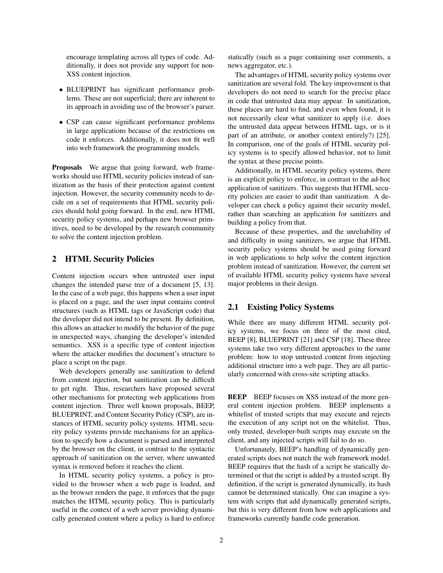encourage templating across all types of code. Additionally, it does not provide any support for non-XSS content injection.

- BLUEPRINT has significant performance problems. These are not superficial; there are inherent to its approach in avoiding use of the browser's parser.
- CSP can cause significant performance problems in large applications because of the restrictions on code it enforces. Additionally, it does not fit well into web framework the programming models.

Proposals We argue that going forward, web frameworks should use HTML security policies instead of sanitization as the basis of their protection against content injection. However, the security community needs to decide on a set of requirements that HTML security policies should hold going forward. In the end, new HTML security policy systems, and perhaps new browser primitives, need to be developed by the research community to solve the content injection problem.

#### 2 HTML Security Policies

Content injection occurs when untrusted user input changes the intended parse tree of a document [5, 13]. In the case of a web page, this happens when a user input is placed on a page, and the user input contains control structures (such as HTML tags or JavaScript code) that the developer did not intend to be present. By definition, this allows an attacker to modify the behavior of the page in unexpected ways, changing the developer's intended semantics. XSS is a specific type of content injection where the attacker modifies the document's structure to place a script on the page.

Web developers generally use sanitization to defend from content injection, but sanitization can be difficult to get right. Thus, researchers have proposed several other mechanisms for protecting web applications from content injection. Three well known proposals, BEEP, BLUEPRINT, and Content Security Policy (CSP), are instances of HTML security policy systems. HTML security policy systems provide mechanisms for an application to specify how a document is parsed and interpreted by the browser on the client, in contrast to the syntactic approach of sanitization on the server, where unwanted syntax is removed before it reaches the client.

In HTML security policy systems, a policy is provided to the browser when a web page is loaded, and as the browser renders the page, it enforces that the page matches the HTML security policy. This is particularly useful in the context of a web server providing dynamically generated content where a policy is hard to enforce statically (such as a page containing user comments, a news aggregator, etc.).

The advantages of HTML security policy systems over sanitization are several fold. The key improvement is that developers do not need to search for the precise place in code that untrusted data may appear. In sanitization, these places are hard to find, and even when found, it is not necessarily clear what sanitizer to apply (i.e. does the untrusted data appear between HTML tags, or is it part of an attribute, or another context entirely?) [25]. In comparison, one of the goals of HTML security policy systems is to specify allowed behavior, not to limit the syntax at these precise points.

Additionally, in HTML security policy systems, there is an explicit policy to enforce, in contrast to the ad-hoc application of sanitizers. This suggests that HTML security policies are easier to audit than sanitization. A developer can check a policy against their security model, rather than searching an application for sanitizers and building a policy from that.

Because of these properties, and the unreliability of and difficulty in using sanitizers, we argue that HTML security policy systems should be used going forward in web applications to help solve the content injection problem instead of sanitization. However, the current set of available HTML security policy systems have several major problems in their design.

## 2.1 Existing Policy Systems

While there are many different HTML security policy systems, we focus on three of the most cited, BEEP [8], BLUEPRINT [21] and CSP [18]. These three systems take two very different approaches to the same problem: how to stop untrusted content from injecting additional structure into a web page. They are all particularly concerned with cross-site scripting attacks.

**BEEP** BEEP focuses on XSS instead of the more general content injection problem. BEEP implements a whitelist of trusted scripts that may execute and rejects the execution of any script not on the whitelist. Thus, only trusted, developer-built scripts may execute on the client, and any injected scripts will fail to do so.

Unfortunately, BEEP's handling of dynamically generated scripts does not match the web framework model. BEEP requires that the hash of a script be statically determined or that the script is added by a trusted script. By definition, if the script is generated dynamically, its hash cannot be determined statically. One can imagine a system with scripts that add dynamically generated scripts, but this is very different from how web applications and frameworks currently handle code generation.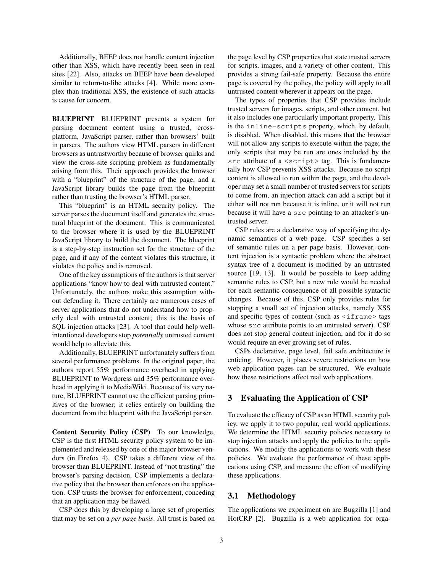Additionally, BEEP does not handle content injection other than XSS, which have recently been seen in real sites [22]. Also, attacks on BEEP have been developed similar to return-to-libc attacks [4]. While more complex than traditional XSS, the existence of such attacks is cause for concern.

BLUEPRINT BLUEPRINT presents a system for parsing document content using a trusted, crossplatform, JavaScript parser, rather than browsers' built in parsers. The authors view HTML parsers in different browsers as untrustworthy because of browser quirks and view the cross-site scripting problem as fundamentally arising from this. Their approach provides the browser with a "blueprint" of the structure of the page, and a JavaScript library builds the page from the blueprint rather than trusting the browser's HTML parser.

This "blueprint" is an HTML security policy. The server parses the document itself and generates the structural blueprint of the document. This is communicated to the browser where it is used by the BLUEPRINT JavaScript library to build the document. The blueprint is a step-by-step instruction set for the structure of the page, and if any of the content violates this structure, it violates the policy and is removed.

One of the key assumptions of the authors is that server applications "know how to deal with untrusted content." Unfortunately, the authors make this assumption without defending it. There certainly are numerous cases of server applications that do not understand how to properly deal with untrusted content; this is the basis of SQL injection attacks [23]. A tool that could help wellintentioned developers stop *potentially* untrusted content would help to alleviate this.

Additionally, BLUEPRINT unfortunately suffers from several performance problems. In the original paper, the authors report 55% performance overhead in applying BLUEPRINT to Wordpress and 35% performance overhead in applying it to MediaWiki. Because of its very nature, BLUEPRINT cannot use the efficient parsing primitives of the browser; it relies entirely on building the document from the blueprint with the JavaScript parser.

Content Security Policy (CSP) To our knowledge, CSP is the first HTML security policy system to be implemented and released by one of the major browser vendors (in Firefox 4). CSP takes a different view of the browser than BLUEPRINT. Instead of "not trusting" the browser's parsing decision, CSP implements a declarative policy that the browser then enforces on the application. CSP trusts the browser for enforcement, conceding that an application may be flawed.

CSP does this by developing a large set of properties that may be set on a *per page basis*. All trust is based on the page level by CSP properties that state trusted servers for scripts, images, and a variety of other content. This provides a strong fail-safe property. Because the entire page is covered by the policy, the policy will apply to all untrusted content wherever it appears on the page.

The types of properties that CSP provides include trusted servers for images, scripts, and other content, but it also includes one particularly important property. This is the inline-scripts property, which, by default, is disabled. When disabled, this means that the browser will not allow any scripts to execute within the page; the only scripts that may be run are ones included by the  $src$  attribute of a  $\leq$ script $>$  tag. This is fundamentally how CSP prevents XSS attacks. Because no script content is allowed to run within the page, and the developer may set a small number of trusted servers for scripts to come from, an injection attack can add a script but it either will not run because it is inline, or it will not run because it will have a src pointing to an attacker's untrusted server.

CSP rules are a declarative way of specifying the dynamic semantics of a web page. CSP specifies a set of semantic rules on a per page basis. However, content injection is a syntactic problem where the abstract syntax tree of a document is modified by an untrusted source [19, 13]. It would be possible to keep adding semantic rules to CSP, but a new rule would be needed for each semantic consequence of all possible syntactic changes. Because of this, CSP only provides rules for stopping a small set of injection attacks, namely XSS and specific types of content (such as  $\leq$ iframe> tags whose  $src$  attribute points to an untrusted server). CSP does not stop general content injection, and for it do so would require an ever growing set of rules.

CSPs declarative, page level, fail safe architecture is enticing. However, it places severe restrictions on how web application pages can be structured. We evaluate how these restrictions affect real web applications.

## 3 Evaluating the Application of CSP

To evaluate the efficacy of CSP as an HTML security policy, we apply it to two popular, real world applications. We determine the HTML security policies necessary to stop injection attacks and apply the policies to the applications. We modify the applications to work with these policies. We evaluate the performance of these applications using CSP, and measure the effort of modifying these applications.

#### 3.1 Methodology

The applications we experiment on are Bugzilla [1] and HotCRP [2]. Bugzilla is a web application for orga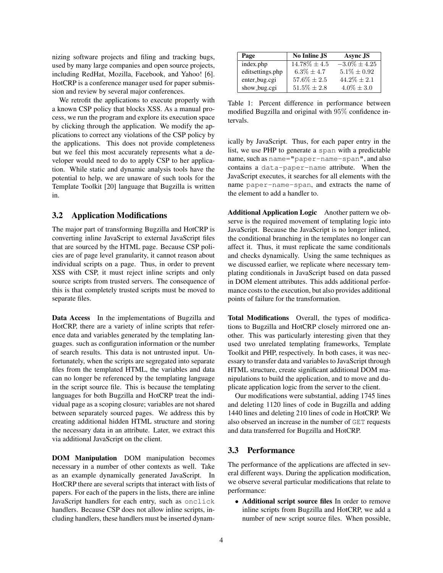nizing software projects and filing and tracking bugs, used by many large companies and open source projects, including RedHat, Mozilla, Facebook, and Yahoo! [6]. HotCRP is a conference manager used for paper submission and review by several major conferences.

We retrofit the applications to execute properly with a known CSP policy that blocks XSS. As a manual process, we run the program and explore its execution space by clicking through the application. We modify the applications to correct any violations of the CSP policy by the applications. This does not provide completeness but we feel this most accurately represents what a developer would need to do to apply CSP to her application. While static and dynamic analysis tools have the potential to help, we are unaware of such tools for the Template Toolkit [20] language that Bugzilla is written in.

## 3.2 Application Modifications

The major part of transforming Bugzilla and HotCRP is converting inline JavaScript to external JavaScript files that are sourced by the HTML page. Because CSP policies are of page level granularity, it cannot reason about individual scripts on a page. Thus, in order to prevent XSS with CSP, it must reject inline scripts and only source scripts from trusted servers. The consequence of this is that completely trusted scripts must be moved to separate files.

Data Access In the implementations of Bugzilla and HotCRP, there are a variety of inline scripts that reference data and variables generated by the templating languages. such as configuration information or the number of search results. This data is not untrusted input. Unfortunately, when the scripts are segregated into separate files from the templated HTML, the variables and data can no longer be referenced by the templating language in the script source file. This is because the templating languages for both Bugzilla and HotCRP treat the individual page as a scoping closure; variables are not shared between separately sourced pages. We address this by creating additional hidden HTML structure and storing the necessary data in an attribute. Later, we extract this via additional JavaScript on the client.

DOM Manipulation DOM manipulation becomes necessary in a number of other contexts as well. Take as an example dynamically generated JavaScript. In HotCRP there are several scripts that interact with lists of papers. For each of the papers in the lists, there are inline JavaScript handlers for each entry, such as onclick handlers. Because CSP does not allow inline scripts, including handlers, these handlers must be inserted dynam-

| Page             | No Inline JS      | Async JS          |
|------------------|-------------------|-------------------|
| index.php        | $14.78\% \pm 4.5$ | $-3.0\% \pm 4.25$ |
| editsettings.php | $6.3\% \pm 4.7$   | $5.1\% + 0.92$    |
| enter_bug.cgi    | $57.6\% \pm 2.5$  | $44.2\% + 2.1$    |
| show_bug.cgi     | $51.5\% + 2.8$    | $4.0\% + 3.0$     |

Table 1: Percent difference in performance between modified Bugzilla and original with 95% confidence intervals.

ically by JavaScript. Thus, for each paper entry in the list, we use PHP to generate a span with a predictable name, such as name="paper-name-span", and also contains a data-paper-name attribute. When the JavaScript executes, it searches for all elements with the name paper-name-span, and extracts the name of the element to add a handler to.

Additional Application Logic Another pattern we observe is the required movement of templating logic into JavaScript. Because the JavaScript is no longer inlined, the conditional branching in the templates no longer can affect it. Thus, it must replicate the same conditionals and checks dynamically. Using the same techniques as we discussed earlier, we replicate where necessary templating conditionals in JavaScript based on data passed in DOM element attributes. This adds additional performance costs to the execution, but also provides additional points of failure for the transformation.

Total Modifications Overall, the types of modifications to Bugzilla and HotCRP closely mirrored one another. This was particularly interesting given that they used two unrelated templating frameworks, Template Toolkit and PHP, respectively. In both cases, it was necessary to transfer data and variables to JavaScript through HTML structure, create significant additional DOM manipulations to build the application, and to move and duplicate application logic from the server to the client.

Our modifications were substantial, adding 1745 lines and deleting 1120 lines of code in Bugzilla and adding 1440 lines and deleting 210 lines of code in HotCRP. We also observed an increase in the number of GET requests and data transferred for Bugzilla and HotCRP.

## 3.3 Performance

The performance of the applications are affected in several different ways. During the application modification, we observe several particular modifications that relate to performance:

• Additional script source files In order to remove inline scripts from Bugzilla and HotCRP, we add a number of new script source files. When possible,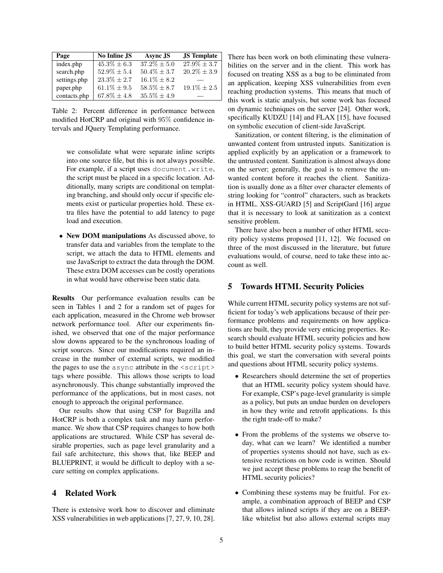| Page         | <b>No Inline JS</b> | Async JS         | <b>JS</b> Template |
|--------------|---------------------|------------------|--------------------|
| index.php    | $45.3\% \pm 6.3$    | $37.2\% \pm 5.0$ | $27.9\% \pm 3.7$   |
| search.php   | $52.9\% \pm 5.4$    | $50.4\% \pm 3.7$ | $20.2\% \pm 3.9$   |
| settings.php | $23.3\% \pm 2.7$    | $16.1\% \pm 8.2$ |                    |
| paper.php    | $61.1\% \pm 9.5$    | $58.5\% \pm 8.7$ | $19.1\% \pm 2.5$   |
| contacts.php | $67.8\% \pm 4.8$    | $35.5\% \pm 4.9$ |                    |

Table 2: Percent difference in performance between modified HotCRP and original with 95% confidence intervals and JQuery Templating performance.

we consolidate what were separate inline scripts into one source file, but this is not always possible. For example, if a script uses document.write, the script must be placed in a specific location. Additionally, many scripts are conditional on templating branching, and should only occur if specific elements exist or particular properties hold. These extra files have the potential to add latency to page load and execution.

• New DOM manipulations As discussed above, to transfer data and variables from the template to the script, we attach the data to HTML elements and use JavaScript to extract the data through the DOM. These extra DOM accesses can be costly operations in what would have otherwise been static data.

Results Our performance evaluation results can be seen in Tables 1 and 2 for a random set of pages for each application, measured in the Chrome web browser network performance tool. After our experiments finished, we observed that one of the major performance slow downs appeared to be the synchronous loading of script sources. Since our modifications required an increase in the number of external scripts, we modified the pages to use the async attribute in the <script> tags where possible. This allows those scripts to load asynchronously. This change substantially improved the performance of the applications, but in most cases, not enough to approach the original performance.

Our results show that using CSP for Bugzilla and HotCRP is both a complex task and may harm performance. We show that CSP requires changes to how both applications are structured. While CSP has several desirable properties, such as page level granularity and a fail safe architecture, this shows that, like BEEP and BLUEPRINT, it would be difficult to deploy with a secure setting on complex applications.

## 4 Related Work

There is extensive work how to discover and eliminate XSS vulnerabilities in web applications [7, 27, 9, 10, 28]. There has been work on both eliminating these vulnerabilities on the server and in the client. This work has focused on treating XSS as a bug to be eliminated from an application, keeping XSS vulnerabilities from even reaching production systems. This means that much of this work is static analysis, but some work has focused on dynamic techniques on the server [24]. Other work, specifically KUDZU [14] and FLAX [15], have focused on symbolic execution of client-side JavaScript.

Sanitization, or content filtering, is the elimination of unwanted content from untrusted inputs. Sanitization is applied explicitly by an application or a framework to the untrusted content. Sanitization is almost always done on the server; generally, the goal is to remove the unwanted content before it reaches the client. Sanitization is usually done as a filter over character elements of string looking for "control" characters, such as brackets in HTML. XSS-GUARD [5] and ScriptGard [16] argue that it is necessary to look at sanitization as a context sensitive problem.

There have also been a number of other HTML security policy systems proposed [11, 12]. We focused on three of the most discussed in the literature, but future evaluations would, of course, need to take these into account as well.

#### 5 Towards HTML Security Policies

While current HTML security policy systems are not sufficient for today's web applications because of their performance problems and requirements on how applications are built, they provide very enticing properties. Research should evaluate HTML security policies and how to build better HTML security policy systems. Towards this goal, we start the conversation with several points and questions about HTML security policy systems.

- Researchers should determine the set of properties that an HTML security policy system should have. For example, CSP's page-level granularity is simple as a policy, but puts an undue burden on developers in how they write and retrofit applications. Is this the right trade-off to make?
- From the problems of the systems we observe today, what can we learn? We identified a number of properties systems should not have, such as extensive restrictions on how code is written. Should we just accept these problems to reap the benefit of HTML security policies?
- Combining these systems may be fruitful. For example, a combination approach of BEEP and CSP that allows inlined scripts if they are on a BEEPlike whitelist but also allows external scripts may